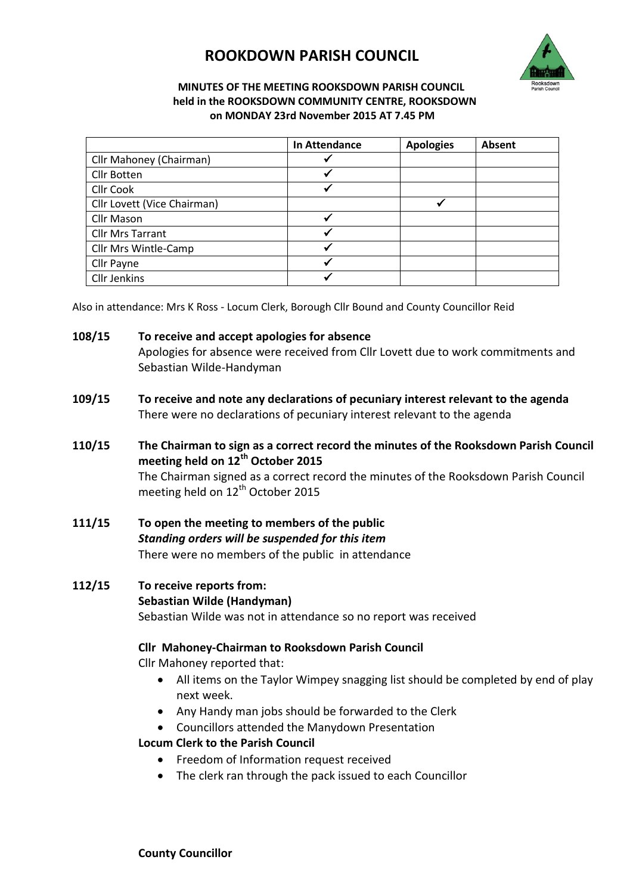# **ROOKDOWN PARISH COUNCIL**



#### **MINUTES OF THE MEETING ROOKSDOWN PARISH COUNCIL held in the ROOKSDOWN COMMUNITY CENTRE, ROOKSDOWN on MONDAY 23rd November 2015 AT 7.45 PM**

|                             | In Attendance | <b>Apologies</b> | Absent |
|-----------------------------|---------------|------------------|--------|
| Cllr Mahoney (Chairman)     |               |                  |        |
| <b>Cllr Botten</b>          |               |                  |        |
| Cllr Cook                   | $\checkmark$  |                  |        |
| Cllr Lovett (Vice Chairman) |               |                  |        |
| <b>Cllr Mason</b>           | $\checkmark$  |                  |        |
| <b>Cllr Mrs Tarrant</b>     | ✔             |                  |        |
| Cllr Mrs Wintle-Camp        |               |                  |        |
| Cllr Payne                  | $\checkmark$  |                  |        |
| <b>Cllr Jenkins</b>         |               |                  |        |

Also in attendance: Mrs K Ross - Locum Clerk, Borough Cllr Bound and County Councillor Reid

#### **108/15 To receive and accept apologies for absence**

Apologies for absence were received from Cllr Lovett due to work commitments and Sebastian Wilde-Handyman

- **109/15 To receive and note any declarations of pecuniary interest relevant to the agenda** There were no declarations of pecuniary interest relevant to the agenda
- **110/15 The Chairman to sign as a correct record the minutes of the Rooksdown Parish Council meeting held on 12th October 2015**  The Chairman signed as a correct record the minutes of the Rooksdown Parish Council meeting held on 12<sup>th</sup> October 2015
- **111/15 To open the meeting to members of the public** *Standing orders will be suspended for this item* There were no members of the public in attendance

## **112/15 To receive reports from: Sebastian Wilde (Handyman)** Sebastian Wilde was not in attendance so no report was received

#### **Cllr Mahoney-Chairman to Rooksdown Parish Council**

Cllr Mahoney reported that:

- All items on the Taylor Wimpey snagging list should be completed by end of play next week.
- Any Handy man jobs should be forwarded to the Clerk
- Councillors attended the Manydown Presentation

#### **Locum Clerk to the Parish Council**

- **•** Freedom of Information request received
- The clerk ran through the pack issued to each Councillor

**County Councillor**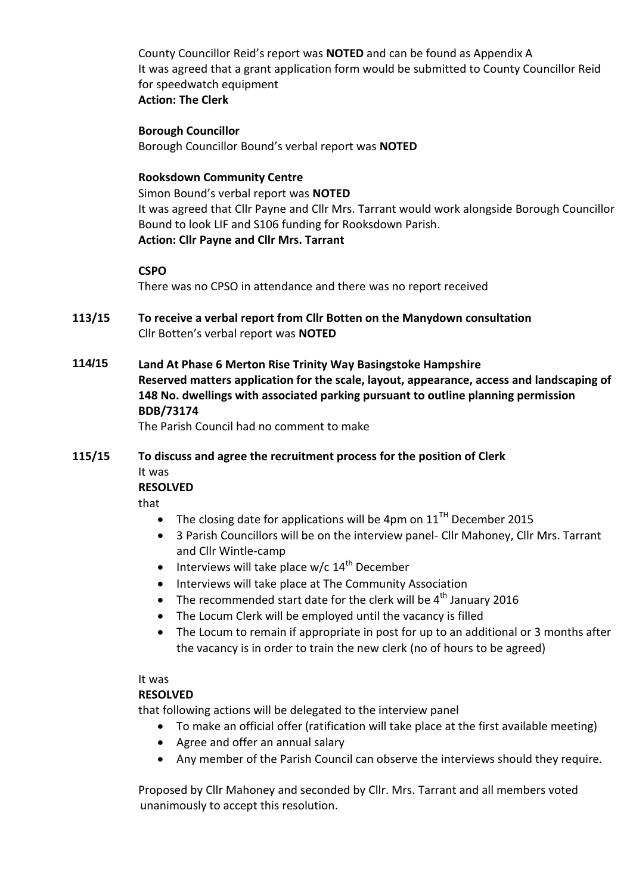County Councillor Reid's report was **NOTED** and can be found as Appendix A It was agreed that a grant application form would be submitted to County Councillor Reid for speedwatch equipment **Action: The Clerk**

#### **Borough Councillor**

Borough Councillor Bound's verbal report was **NOTED**

#### **Rooksdown Community Centre**

Simon Bound's verbal report was **NOTED** It was agreed that Cllr Payne and Cllr Mrs. Tarrant would work alongside Borough Councillor Bound to look LIF and S106 funding for Rooksdown Parish. **Action: Cllr Payne and Cllr Mrs. Tarrant**

#### **CSPO**

There was no CPSO in attendance and there was no report received

- **113/15 To receive a verbal report from Cllr Botten on the Manydown consultation** Cllr Botten's verbal report was **NOTED**
- **114/15 Land At Phase 6 Merton Rise Trinity Way Basingstoke Hampshire Reserved matters application for the scale, layout, appearance, access and landscaping of 148 No. dwellings with associated parking pursuant to outline planning permission BDB/73174**

The Parish Council had no comment to make

# **115/15 To discuss and agree the recruitment process for the position of Clerk** It was

## **RESOLVED**

that

- The closing date for applications will be 4pm on  $11<sup>TH</sup>$  December 2015
- 3 Parish Councillors will be on the interview panel- Cllr Mahoney, Cllr Mrs. Tarrant and Cllr Wintle-camp
- $\bullet$  Interviews will take place w/c 14<sup>th</sup> December
- Interviews will take place at The Community Association
- The recommended start date for the clerk will be  $4<sup>th</sup>$  January 2016
- The Locum Clerk will be employed until the vacancy is filled
- The Locum to remain if appropriate in post for up to an additional or 3 months after the vacancy is in order to train the new clerk (no of hours to be agreed)

#### It was

#### **RESOLVED**

that following actions will be delegated to the interview panel

- To make an official offer (ratification will take place at the first available meeting)
- Agree and offer an annual salary
- Any member of the Parish Council can observe the interviews should they require.

Proposed by Cllr Mahoney and seconded by Cllr. Mrs. Tarrant and all members voted unanimously to accept this resolution.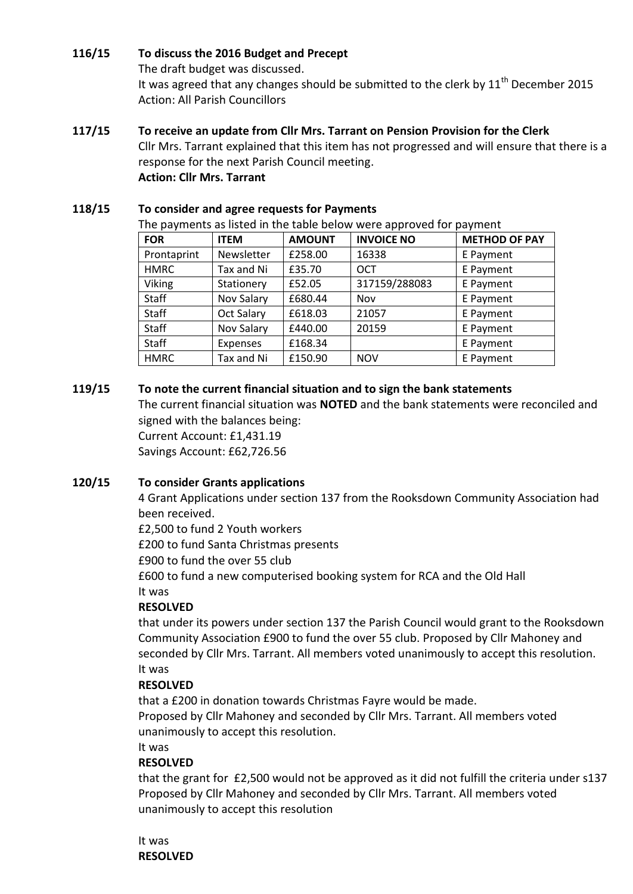## **116/15 To discuss the 2016 Budget and Precept**

The draft budget was discussed.

It was agreed that any changes should be submitted to the clerk by  $11<sup>th</sup>$  December 2015 Action: All Parish Councillors

## **117/15 To receive an update from Cllr Mrs. Tarrant on Pension Provision for the Clerk**

Cllr Mrs. Tarrant explained that this item has not progressed and will ensure that there is a response for the next Parish Council meeting. **Action: Cllr Mrs. Tarrant**

## **118/15 To consider and agree requests for Payments**

The payments as listed in the table below were approved for payment

| <b>FOR</b>   | <b>ITEM</b>       | <b>AMOUNT</b> | <b>INVOICE NO</b> | <b>METHOD OF PAY</b> |
|--------------|-------------------|---------------|-------------------|----------------------|
| Prontaprint  | Newsletter        | £258.00       | 16338             | E Payment            |
| <b>HMRC</b>  | Tax and Ni        | £35.70        | <b>OCT</b>        | E Payment            |
| Viking       | Stationery        | £52.05        | 317159/288083     | E Payment            |
| <b>Staff</b> | Nov Salary        | £680.44       | Nov               | E Payment            |
| Staff        | <b>Oct Salary</b> | £618.03       | 21057             | E Payment            |
| Staff        | Nov Salary        | £440.00       | 20159             | E Payment            |
| Staff        | Expenses          | £168.34       |                   | E Payment            |
| <b>HMRC</b>  | Tax and Ni        | £150.90       | <b>NOV</b>        | E Payment            |

## **119/15 To note the current financial situation and to sign the bank statements**

The current financial situation was **NOTED** and the bank statements were reconciled and signed with the balances being: Current Account: £1,431.19

Savings Account: £62,726.56

#### **120/15 To consider Grants applications**

4 Grant Applications under section 137 from the Rooksdown Community Association had been received.

£2,500 to fund 2 Youth workers

£200 to fund Santa Christmas presents

£900 to fund the over 55 club

£600 to fund a new computerised booking system for RCA and the Old Hall It was

#### **RESOLVED**

that under its powers under section 137 the Parish Council would grant to the Rooksdown Community Association £900 to fund the over 55 club. Proposed by Cllr Mahoney and seconded by Cllr Mrs. Tarrant. All members voted unanimously to accept this resolution. It was

#### **RESOLVED**

that a £200 in donation towards Christmas Fayre would be made. Proposed by Cllr Mahoney and seconded by Cllr Mrs. Tarrant. All members voted unanimously to accept this resolution.

## It was

## **RESOLVED**

that the grant for £2,500 would not be approved as it did not fulfill the criteria under s137 Proposed by Cllr Mahoney and seconded by Cllr Mrs. Tarrant. All members voted unanimously to accept this resolution

It was **RESOLVED**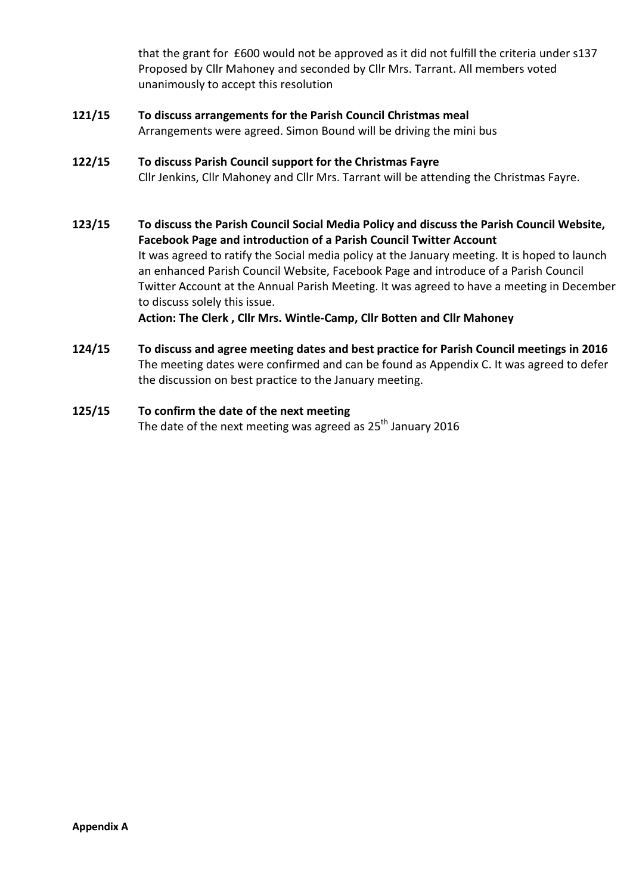that the grant for £600 would not be approved as it did not fulfill the criteria under s137 Proposed by Cllr Mahoney and seconded by Cllr Mrs. Tarrant. All members voted unanimously to accept this resolution

**121/15 To discuss arrangements for the Parish Council Christmas meal** Arrangements were agreed. Simon Bound will be driving the mini bus

## **122/15 To discuss Parish Council support for the Christmas Fayre** Cllr Jenkins, Cllr Mahoney and Cllr Mrs. Tarrant will be attending the Christmas Fayre.

- **123/15 To discuss the Parish Council Social Media Policy and discuss the Parish Council Website, Facebook Page and introduction of a Parish Council Twitter Account** It was agreed to ratify the Social media policy at the January meeting. It is hoped to launch an enhanced Parish Council Website, Facebook Page and introduce of a Parish Council Twitter Account at the Annual Parish Meeting. It was agreed to have a meeting in December to discuss solely this issue. **Action: The Clerk , Cllr Mrs. Wintle-Camp, Cllr Botten and Cllr Mahoney**
- **124/15 To discuss and agree meeting dates and best practice for Parish Council meetings in 2016** The meeting dates were confirmed and can be found as Appendix C. It was agreed to defer the discussion on best practice to the January meeting.
- **125/15 To confirm the date of the next meeting** The date of the next meeting was agreed as  $25^{th}$  January 2016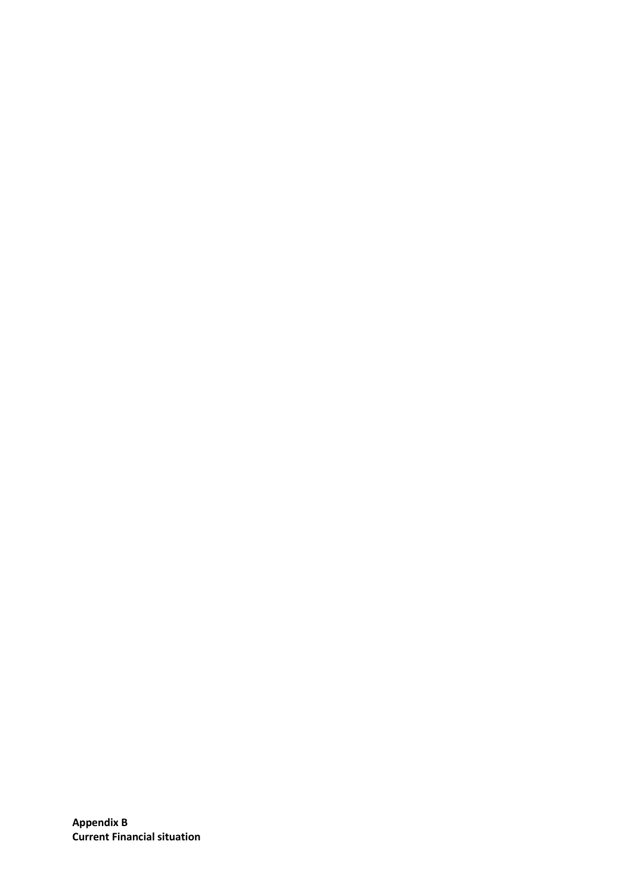**Appendix B Current Financial situation**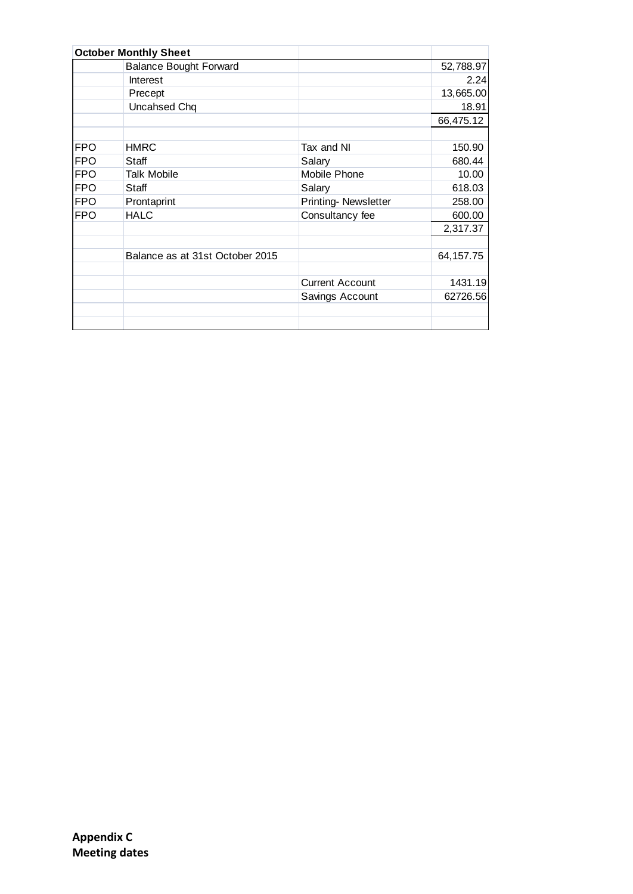|            | <b>October Monthly Sheet</b>    |                        |             |
|------------|---------------------------------|------------------------|-------------|
|            | <b>Balance Bought Forward</b>   |                        | 52,788.97   |
|            | Interest                        |                        | 2.24        |
|            | Precept                         |                        | 13,665.00   |
|            | Uncahsed Chq                    |                        | 18.91       |
|            |                                 |                        | 66,475.12   |
|            |                                 |                        |             |
| <b>FPO</b> | <b>HMRC</b>                     | Tax and NI             | 150.90      |
| <b>FPO</b> | Staff                           | Salary                 | 680.44      |
| <b>FPO</b> | <b>Talk Mobile</b>              | Mobile Phone           | 10.00       |
| <b>FPO</b> | Staff                           | Salary                 | 618.03      |
| <b>FPO</b> | Prontaprint                     | Printing-Newsletter    | 258.00      |
| <b>FPO</b> | <b>HALC</b>                     | Consultancy fee        | 600.00      |
|            |                                 |                        | 2,317.37    |
|            |                                 |                        |             |
|            | Balance as at 31st October 2015 |                        | 64, 157. 75 |
|            |                                 |                        |             |
|            |                                 | <b>Current Account</b> | 1431.19     |
|            |                                 | Savings Account        | 62726.56    |
|            |                                 |                        |             |
|            |                                 |                        |             |